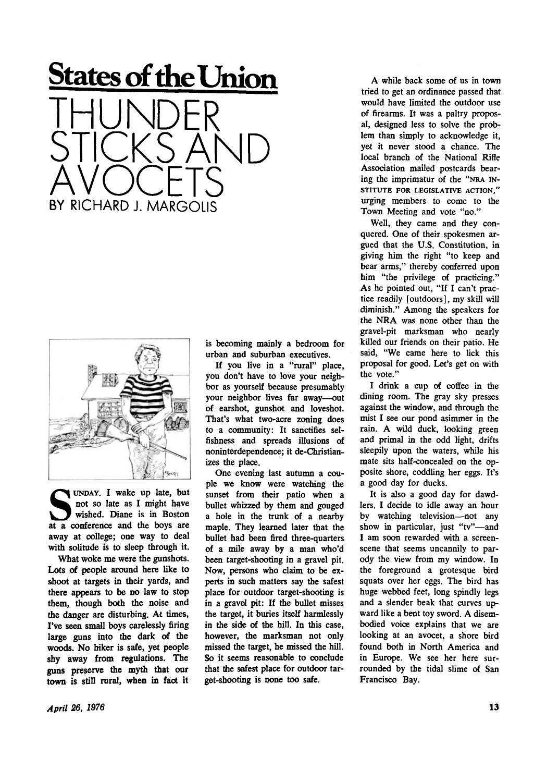## **States of the Union**

THUNDER STICKS AND AVOCETS BY RICHARD J. MARGOLIS



UNDAY. I wake up late, but<br>
not so late as I might have<br>
wished. Diane is in Boston<br>
at a conference and the boys are UNDAY . I wake up late, but not so late as I might have wished. Diane is in Boston away at college; one way to deal with solitude is to sleep through it.

What woke me were the gunshots. Lots of people around here like to shoot at targets in their yards, and there appears to be no law to stop them, though both the noise and the danger are disturbing. At times, I've seen small boys carelessly firing large guns into the dark of the woods. No hiker is safe, yet people shy away from regulations. The guns preserve the myth that our town is still rural, when in fact it

is becoming mainly a bedroom for urban and suburban executives.

If you live in a "rural" place, you don't have to love your neighbor as yourself because presumably your neighbor lives far away—out of earshot, gunshot and loveshot. That's what two-acre zoning does to a community: It sanctifies selfishness and spreads illusions of noninterdependence; it de-Christianizes the place.

One evening last autumn a couple we know were watching the sunset from their patio when a bullet whizzed by them and gouged a hole in the trunk of a nearby maple. They learned later that the bullet had been fired three-quarters of a mile away by a man who'd been target-shooting in a gravel pit. Now, persons who claim to be experts in such matters say the safest place for outdoor target-shooting is in a gravel pit: If the bullet misses the target, it buries itself harmlessly in the side of the hill. In this case, however, the marksman not only missed the target, he missed the hill. So it seems reasonable to conclude that the safest place for outdoor target-shooting is none too safe.

A while back some of us in town tried to get an ordinance passed that would have limited the outdoor use of firearms. It was a paltry proposal, designed less to solve the problem than simply to acknowledge it, yet it never stood a chance. The local branch of the National Rifle Association mailed postcards bearing the imprimatur of the "NRA IN-STITUTE FOR LEGISLATIVE ACTION." urging members to come to the Town Meeting and vote "no."

Well, they came and they conquered. One of their spokesmen argued that the U.S. Constitution, in giving him the right "to keep and bear arms," thereby conferred upon him "the privilege of practicing." As he pointed out, "If I can't practice readily [outdoors], my skill will diminish." Among the speakers for the NRA was none other than the gravel-pit marksman who nearly killed our friends on their patio. He said, "We came here to lick this proposal for good. Let's get on with the vote."

I drink a cup of coffee in the dining room. The gray sky presses against the window, and through the mist I see our pond asimmer in the rain. A wild duck, looking green and primal in the odd light, drifts sleepily upon the waters, while his mate sits half-concealed on the opposite shore, coddling her eggs. It's a good day for ducks.

It is also a good day for dawdlers. I decide to idle away an hour by watching television—not any show in particular, just "tv"—and I am soon rewarded with a screenscene that seems uncannily to parody the view from my window. In the foreground a grotesque bird squats over her eggs. The bird has huge webbed feet, long spindly legs and a slender beak that curves upward like a bent toy sword. A disembodied voice explains that we are looking at an avocet, a shore bird found both in North America and in Europe. We see her here surrounded by the tidal slime of San Francisco Bay.